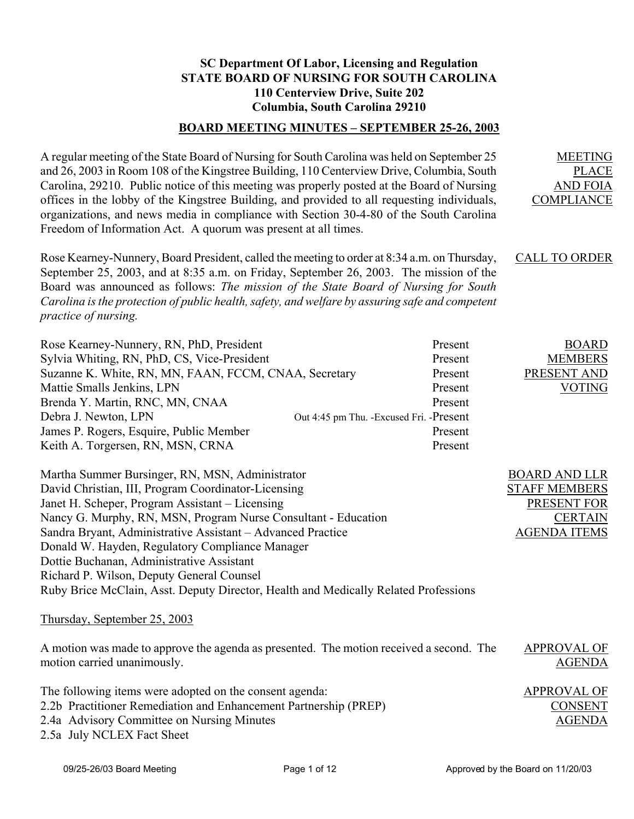## **SC Department Of Labor, Licensing and Regulation STATE BOARD OF NURSING FOR SOUTH CAROLINA 110 Centerview Drive, Suite 202 Columbia, South Carolina 29210**

#### **BOARD MEETING MINUTES – SEPTEMBER 25-26, 2003**

A regular meeting of the State Board of Nursing for South Carolina was held on September 25 and 26, 2003 in Room 108 of the Kingstree Building, 110 Centerview Drive, Columbia, South Carolina, 29210. Public notice of this meeting was properly posted at the Board of Nursing offices in the lobby of the Kingstree Building, and provided to all requesting individuals, organizations, and news media in compliance with Section 30-4-80 of the South Carolina Freedom of Information Act. A quorum was present at all times.

Rose Kearney-Nunnery, Board President, called the meeting to order at 8:34 a.m. on Thursday, September 25, 2003, and at 8:35 a.m. on Friday, September 26, 2003. The mission of the Board was announced as follows: *The mission of the State Board of Nursing for South Carolina is the protection of public health, safety, and welfare by assuring safe and competent practice of nursing.*  CALL TO ORDER

| Rose Kearney-Nunnery, RN, PhD, President                                                                               |                                           | Present | <b>BOARD</b>                        |  |
|------------------------------------------------------------------------------------------------------------------------|-------------------------------------------|---------|-------------------------------------|--|
| Sylvia Whiting, RN, PhD, CS, Vice-President                                                                            |                                           | Present | <b>MEMBERS</b>                      |  |
| Suzanne K. White, RN, MN, FAAN, FCCM, CNAA, Secretary                                                                  |                                           | Present | PRESENT AND                         |  |
| Mattie Smalls Jenkins, LPN                                                                                             |                                           | Present | VOTING                              |  |
| Brenda Y. Martin, RNC, MN, CNAA                                                                                        |                                           | Present |                                     |  |
| Debra J. Newton, LPN                                                                                                   | Out 4:45 pm Thu. - Excused Fri. - Present |         |                                     |  |
| James P. Rogers, Esquire, Public Member                                                                                |                                           | Present |                                     |  |
| Keith A. Torgersen, RN, MSN, CRNA                                                                                      |                                           | Present |                                     |  |
| Martha Summer Bursinger, RN, MSN, Administrator                                                                        |                                           |         | <b>BOARD AND LLR</b>                |  |
| David Christian, III, Program Coordinator-Licensing                                                                    |                                           |         | <b>STAFF MEMBERS</b>                |  |
| Janet H. Scheper, Program Assistant – Licensing                                                                        |                                           |         | PRESENT FOR                         |  |
| Nancy G. Murphy, RN, MSN, Program Nurse Consultant - Education                                                         |                                           |         | <b>CERTAIN</b>                      |  |
| Sandra Bryant, Administrative Assistant – Advanced Practice                                                            |                                           |         | <b>AGENDA ITEMS</b>                 |  |
| Donald W. Hayden, Regulatory Compliance Manager                                                                        |                                           |         |                                     |  |
| Dottie Buchanan, Administrative Assistant                                                                              |                                           |         |                                     |  |
| Richard P. Wilson, Deputy General Counsel                                                                              |                                           |         |                                     |  |
| Ruby Brice McClain, Asst. Deputy Director, Health and Medically Related Professions                                    |                                           |         |                                     |  |
| Thursday, September 25, 2003                                                                                           |                                           |         |                                     |  |
| A motion was made to approve the agenda as presented. The motion received a second. The<br>motion carried unanimously. |                                           |         | <b>APPROVAL OF</b><br><b>AGENDA</b> |  |

The following items were adopted on the consent agenda: 2.2b Practitioner Remediation and Enhancement Partnership (PREP) 2.4a Advisory Committee on Nursing Minutes 2.5a July NCLEX Fact Sheet APPROVAL OF CONSENT AGENDA

MEETING PLACE AND FOIA COMPLIANCE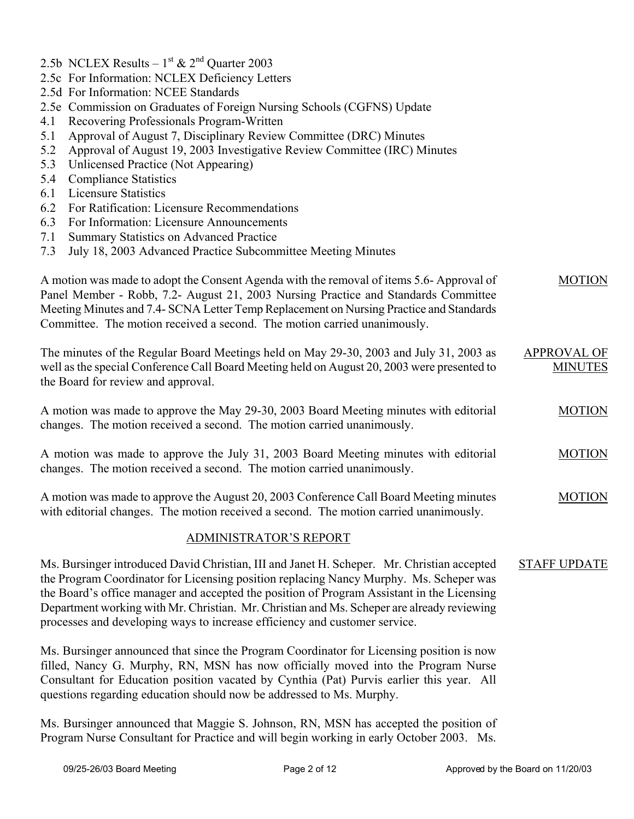- 2.5b NCLEX Results  $1<sup>st</sup>$  &  $2<sup>nd</sup>$  Quarter 2003
- 2.5c For Information: NCLEX Deficiency Letters
- 2.5d For Information: NCEE Standards
- 2.5e Commission on Graduates of Foreign Nursing Schools (CGFNS) Update
- 4.1 Recovering Professionals Program-Written
- 5.1 Approval of August 7, Disciplinary Review Committee (DRC) Minutes
- 5.2 Approval of August 19, 2003 Investigative Review Committee (IRC) Minutes
- 5.3 Unlicensed Practice (Not Appearing)
- 5.4 Compliance Statistics
- 6.1 Licensure Statistics
- 6.2 For Ratification: Licensure Recommendations
- 6.3 For Information: Licensure Announcements
- 7.1 Summary Statistics on Advanced Practice
- 7.3 July 18, 2003 Advanced Practice Subcommittee Meeting Minutes

| A motion was made to adopt the Consent Agenda with the removal of items 5.6-Approval of<br>Panel Member - Robb, 7.2- August 21, 2003 Nursing Practice and Standards Committee<br>Meeting Minutes and 7.4- SCNA Letter Temp Replacement on Nursing Practice and Standards<br>Committee. The motion received a second. The motion carried unanimously.                                                                                                           | <b>MOTION</b>                        |
|----------------------------------------------------------------------------------------------------------------------------------------------------------------------------------------------------------------------------------------------------------------------------------------------------------------------------------------------------------------------------------------------------------------------------------------------------------------|--------------------------------------|
| The minutes of the Regular Board Meetings held on May 29-30, 2003 and July 31, 2003 as<br>well as the special Conference Call Board Meeting held on August 20, 2003 were presented to<br>the Board for review and approval.                                                                                                                                                                                                                                    | <b>APPROVAL OF</b><br><b>MINUTES</b> |
| A motion was made to approve the May 29-30, 2003 Board Meeting minutes with editorial<br>changes. The motion received a second. The motion carried unanimously.                                                                                                                                                                                                                                                                                                | <b>MOTION</b>                        |
| A motion was made to approve the July 31, 2003 Board Meeting minutes with editorial<br>changes. The motion received a second. The motion carried unanimously.                                                                                                                                                                                                                                                                                                  | <b>MOTION</b>                        |
| A motion was made to approve the August 20, 2003 Conference Call Board Meeting minutes<br>with editorial changes. The motion received a second. The motion carried unanimously.                                                                                                                                                                                                                                                                                | <b>MOTION</b>                        |
| <b>ADMINISTRATOR'S REPORT</b>                                                                                                                                                                                                                                                                                                                                                                                                                                  |                                      |
| Ms. Bursinger introduced David Christian, III and Janet H. Scheper. Mr. Christian accepted<br>the Program Coordinator for Licensing position replacing Nancy Murphy. Ms. Scheper was<br>the Board's office manager and accepted the position of Program Assistant in the Licensing<br>Department working with Mr. Christian. Mr. Christian and Ms. Scheper are already reviewing<br>processes and developing ways to increase efficiency and customer service. | <b>STAFF UPDATE</b>                  |
| Ms. Bursinger announced that since the Program Coordinator for Licensing position is now                                                                                                                                                                                                                                                                                                                                                                       |                                      |

filled, Nancy G. Murphy, RN, MSN has now officially moved into the Program Nurse Consultant for Education position vacated by Cynthia (Pat) Purvis earlier this year. All questions regarding education should now be addressed to Ms. Murphy.

Ms. Bursinger announced that Maggie S. Johnson, RN, MSN has accepted the position of Program Nurse Consultant for Practice and will begin working in early October 2003. Ms.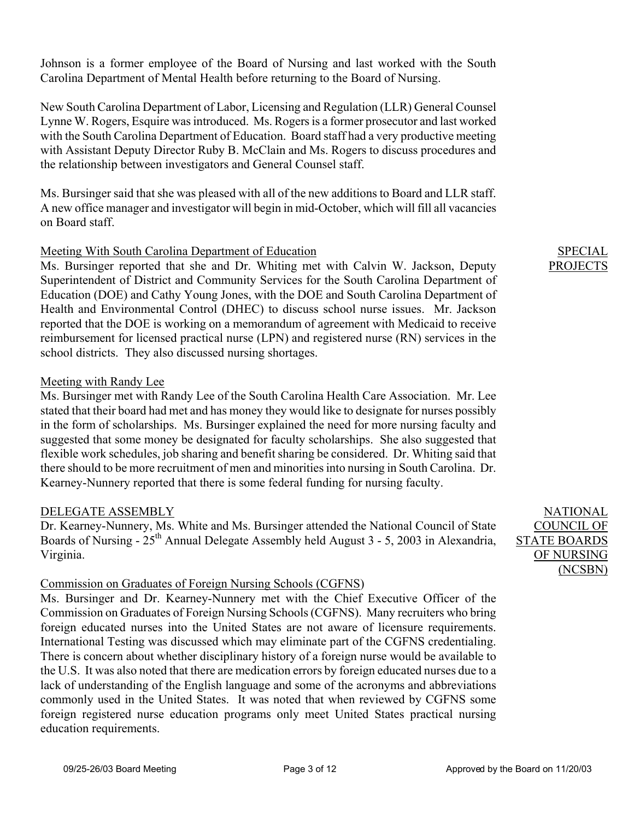Johnson is a former employee of the Board of Nursing and last worked with the South Carolina Department of Mental Health before returning to the Board of Nursing.

New South Carolina Department of Labor, Licensing and Regulation (LLR) General Counsel Lynne W. Rogers, Esquire was introduced. Ms. Rogers is a former prosecutor and last worked with the South Carolina Department of Education. Board staff had a very productive meeting with Assistant Deputy Director Ruby B. McClain and Ms. Rogers to discuss procedures and the relationship between investigators and General Counsel staff.

Ms. Bursinger said that she was pleased with all of the new additions to Board and LLR staff. A new office manager and investigator will begin in mid-October, which will fill all vacancies on Board staff.

### Meeting With South Carolina Department of Education

Ms. Bursinger reported that she and Dr. Whiting met with Calvin W. Jackson, Deputy Superintendent of District and Community Services for the South Carolina Department of Education (DOE) and Cathy Young Jones, with the DOE and South Carolina Department of Health and Environmental Control (DHEC) to discuss school nurse issues. Mr. Jackson reported that the DOE is working on a memorandum of agreement with Medicaid to receive reimbursement for licensed practical nurse (LPN) and registered nurse (RN) services in the school districts. They also discussed nursing shortages.

### Meeting with Randy Lee

Ms. Bursinger met with Randy Lee of the South Carolina Health Care Association. Mr. Lee stated that their board had met and has money they would like to designate for nurses possibly in the form of scholarships. Ms. Bursinger explained the need for more nursing faculty and suggested that some money be designated for faculty scholarships. She also suggested that flexible work schedules, job sharing and benefit sharing be considered. Dr. Whiting said that there should to be more recruitment of men and minorities into nursing in South Carolina. Dr. Kearney-Nunnery reported that there is some federal funding for nursing faculty.

#### DELEGATE ASSEMBLY

Dr. Kearney-Nunnery, Ms. White and Ms. Bursinger attended the National Council of State Boards of Nursing - 25<sup>th</sup> Annual Delegate Assembly held August 3 - 5, 2003 in Alexandria, Virginia.

## Commission on Graduates of Foreign Nursing Schools (CGFNS)

Ms. Bursinger and Dr. Kearney-Nunnery met with the Chief Executive Officer of the Commission on Graduates of Foreign Nursing Schools (CGFNS). Many recruiters who bring foreign educated nurses into the United States are not aware of licensure requirements. International Testing was discussed which may eliminate part of the CGFNS credentialing. There is concern about whether disciplinary history of a foreign nurse would be available to the U.S. It was also noted that there are medication errors by foreign educated nurses due to a lack of understanding of the English language and some of the acronyms and abbreviations commonly used in the United States. It was noted that when reviewed by CGFNS some foreign registered nurse education programs only meet United States practical nursing education requirements.

# SPECIAL PROJECTS

NATIONAL COUNCIL OF STATE BOARDS OF NURSING (NCSBN)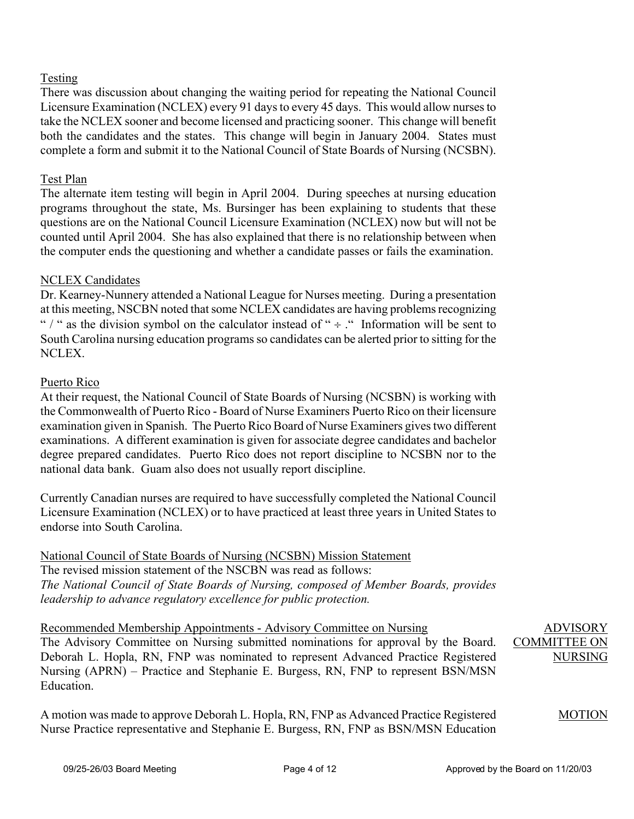#### Testing

There was discussion about changing the waiting period for repeating the National Council Licensure Examination (NCLEX) every 91 days to every 45 days. This would allow nurses to take the NCLEX sooner and become licensed and practicing sooner. This change will benefit both the candidates and the states. This change will begin in January 2004. States must complete a form and submit it to the National Council of State Boards of Nursing (NCSBN).

### Test Plan

The alternate item testing will begin in April 2004. During speeches at nursing education programs throughout the state, Ms. Bursinger has been explaining to students that these questions are on the National Council Licensure Examination (NCLEX) now but will not be counted until April 2004. She has also explained that there is no relationship between when the computer ends the questioning and whether a candidate passes or fails the examination.

### NCLEX Candidates

Dr. Kearney-Nunnery attended a National League for Nurses meeting. During a presentation at this meeting, NSCBN noted that some NCLEX candidates are having problems recognizing " / " as the division symbol on the calculator instead of " $\div$  ." Information will be sent to South Carolina nursing education programs so candidates can be alerted prior to sitting for the NCLEX.

### Puerto Rico

At their request, the National Council of State Boards of Nursing (NCSBN) is working with the Commonwealth of Puerto Rico - Board of Nurse Examiners Puerto Rico on their licensure examination given in Spanish. The Puerto Rico Board of Nurse Examiners gives two different examinations. A different examination is given for associate degree candidates and bachelor degree prepared candidates. Puerto Rico does not report discipline to NCSBN nor to the national data bank. Guam also does not usually report discipline.

Currently Canadian nurses are required to have successfully completed the National Council Licensure Examination (NCLEX) or to have practiced at least three years in United States to endorse into South Carolina.

National Council of State Boards of Nursing (NCSBN) Mission Statement The revised mission statement of the NSCBN was read as follows: *The National Council of State Boards of Nursing, composed of Member Boards, provides leadership to advance regulatory excellence for public protection.* 

Recommended Membership Appointments - Advisory Committee on Nursing The Advisory Committee on Nursing submitted nominations for approval by the Board. Deborah L. Hopla, RN, FNP was nominated to represent Advanced Practice Registered Nursing (APRN) – Practice and Stephanie E. Burgess, RN, FNP to represent BSN/MSN **Education** ADVISORY COMMITTEE ON NURSING

A motion was made to approve Deborah L. Hopla, RN, FNP as Advanced Practice Registered Nurse Practice representative and Stephanie E. Burgess, RN, FNP as BSN/MSN Education

MOTION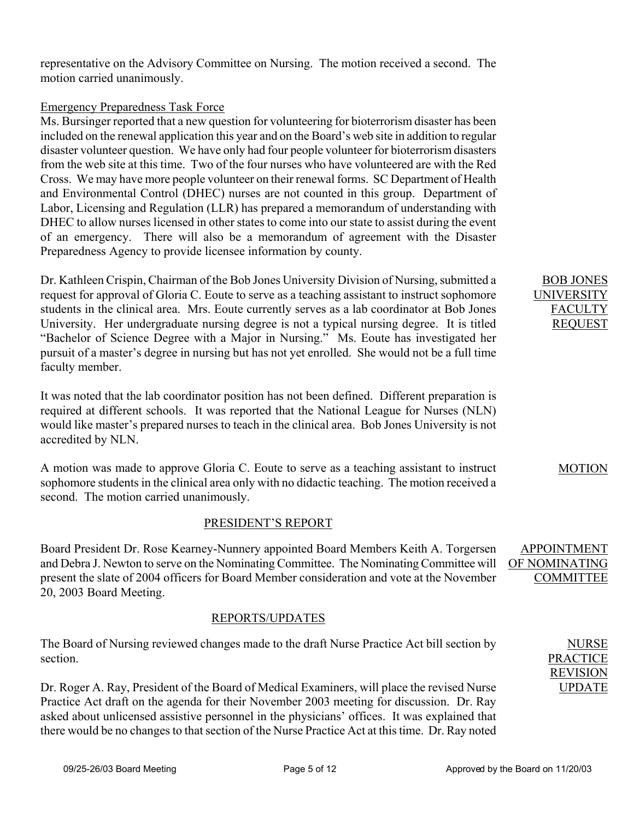representative on the Advisory Committee on Nursing. The motion received a second. The motion carried unanimously.

#### Emergency Preparedness Task Force

Ms. Bursinger reported that a new question for volunteering for bioterrorism disaster has been included on the renewal application this year and on the Board's web site in addition to regular disaster volunteer question. We have only had four people volunteer for bioterrorism disasters from the web site at this time. Two of the four nurses who have volunteered are with the Red Cross. We may have more people volunteer on their renewal forms. SC Department of Health and Environmental Control (DHEC) nurses are not counted in this group. Department of Labor, Licensing and Regulation (LLR) has prepared a memorandum of understanding with DHEC to allow nurses licensed in other states to come into our state to assist during the event of an emergency. There will also be a memorandum of agreement with the Disaster Preparedness Agency to provide licensee information by county.

Dr. Kathleen Crispin, Chairman of the Bob Jones University Division of Nursing, submitted a request for approval of Gloria C. Eoute to serve as a teaching assistant to instruct sophomore students in the clinical area. Mrs. Eoute currently serves as a lab coordinator at Bob Jones University. Her undergraduate nursing degree is not a typical nursing degree. It is titled "Bachelor of Science Degree with a Major in Nursing." Ms. Eoute has investigated her pursuit of a master's degree in nursing but has not yet enrolled. She would not be a full time faculty member.

It was noted that the lab coordinator position has not been defined. Different preparation is required at different schools. It was reported that the National League for Nurses (NLN) would like master's prepared nurses to teach in the clinical area. Bob Jones University is not accredited by NLN.

A motion was made to approve Gloria C. Eoute to serve as a teaching assistant to instruct sophomore students in the clinical area only with no didactic teaching. The motion received a second. The motion carried unanimously.

#### PRESIDENT'S REPORT

Board President Dr. Rose Kearney-Nunnery appointed Board Members Keith A. Torgersen and Debra J. Newton to serve on the Nominating Committee. The Nominating Committee will present the slate of 2004 officers for Board Member consideration and vote at the November 20, 2003 Board Meeting.

## REPORTS/UPDATES

The Board of Nursing reviewed changes made to the draft Nurse Practice Act bill section by section.

Dr. Roger A. Ray, President of the Board of Medical Examiners, will place the revised Nurse Practice Act draft on the agenda for their November 2003 meeting for discussion. Dr. Ray asked about unlicensed assistive personnel in the physicians' offices. It was explained that there would be no changes to that section of the Nurse Practice Act at this time. Dr. Ray noted

BOB JONES UNIVERSITY FACULTY REQUEST

#### MOTION

APPOINTMENT OF NOMINATING COMMITTEE

> NURSE PRACTICE REVISION UPDATE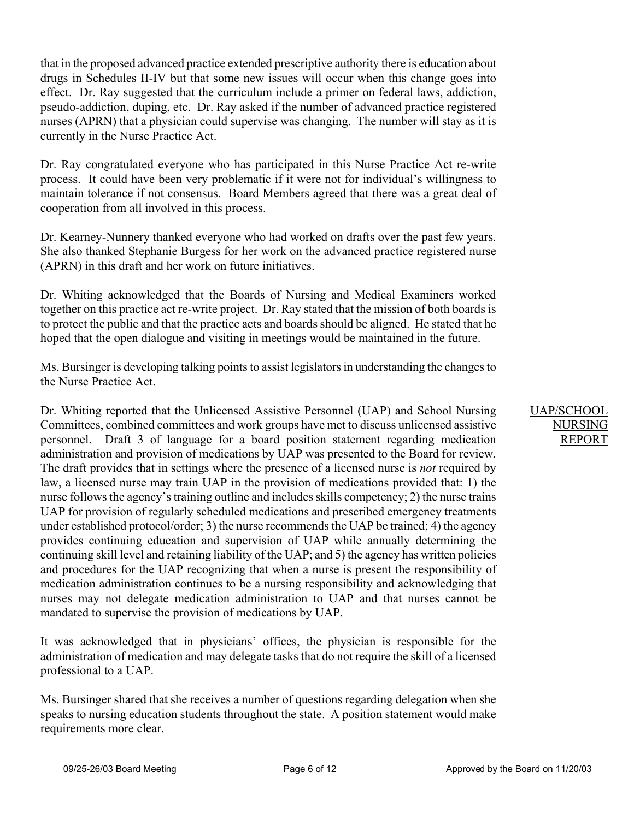that in the proposed advanced practice extended prescriptive authority there is education about drugs in Schedules II-IV but that some new issues will occur when this change goes into effect. Dr. Ray suggested that the curriculum include a primer on federal laws, addiction, pseudo-addiction, duping, etc. Dr. Ray asked if the number of advanced practice registered nurses (APRN) that a physician could supervise was changing. The number will stay as it is currently in the Nurse Practice Act.

Dr. Ray congratulated everyone who has participated in this Nurse Practice Act re-write process. It could have been very problematic if it were not for individual's willingness to maintain tolerance if not consensus. Board Members agreed that there was a great deal of cooperation from all involved in this process.

Dr. Kearney-Nunnery thanked everyone who had worked on drafts over the past few years. She also thanked Stephanie Burgess for her work on the advanced practice registered nurse (APRN) in this draft and her work on future initiatives.

Dr. Whiting acknowledged that the Boards of Nursing and Medical Examiners worked together on this practice act re-write project. Dr. Ray stated that the mission of both boards is to protect the public and that the practice acts and boards should be aligned. He stated that he hoped that the open dialogue and visiting in meetings would be maintained in the future.

Ms. Bursinger is developing talking points to assist legislators in understanding the changes to the Nurse Practice Act.

Dr. Whiting reported that the Unlicensed Assistive Personnel (UAP) and School Nursing Committees, combined committees and work groups have met to discuss unlicensed assistive personnel. Draft 3 of language for a board position statement regarding medication administration and provision of medications by UAP was presented to the Board for review. The draft provides that in settings where the presence of a licensed nurse is *not* required by law, a licensed nurse may train UAP in the provision of medications provided that: 1) the nurse follows the agency's training outline and includes skills competency; 2) the nurse trains UAP for provision of regularly scheduled medications and prescribed emergency treatments under established protocol/order; 3) the nurse recommends the UAP be trained; 4) the agency provides continuing education and supervision of UAP while annually determining the continuing skill level and retaining liability of the UAP; and 5) the agency has written policies and procedures for the UAP recognizing that when a nurse is present the responsibility of medication administration continues to be a nursing responsibility and acknowledging that nurses may not delegate medication administration to UAP and that nurses cannot be mandated to supervise the provision of medications by UAP.

It was acknowledged that in physicians' offices, the physician is responsible for the administration of medication and may delegate tasks that do not require the skill of a licensed professional to a UAP.

Ms. Bursinger shared that she receives a number of questions regarding delegation when she speaks to nursing education students throughout the state. A position statement would make requirements more clear.

#### UAP/SCHOOL NURSING REPORT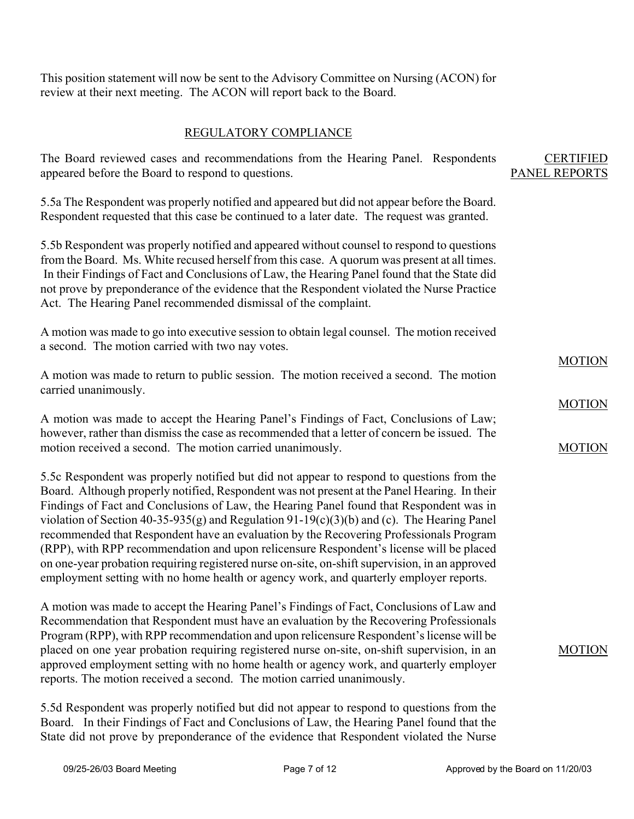This position statement will now be sent to the Advisory Committee on Nursing (ACON) for review at their next meeting. The ACON will report back to the Board.

### REGULATORY COMPLIANCE

| The Board reviewed cases and recommendations from the Hearing Panel. Respondents<br>appeared before the Board to respond to questions.                                                                                                                                                                                                                                                                                                                                                                                                                                                                                                                                                                                                                              | <b>CERTIFIED</b><br>PANEL REPORTS |
|---------------------------------------------------------------------------------------------------------------------------------------------------------------------------------------------------------------------------------------------------------------------------------------------------------------------------------------------------------------------------------------------------------------------------------------------------------------------------------------------------------------------------------------------------------------------------------------------------------------------------------------------------------------------------------------------------------------------------------------------------------------------|-----------------------------------|
| 5.5a The Respondent was properly notified and appeared but did not appear before the Board.<br>Respondent requested that this case be continued to a later date. The request was granted.                                                                                                                                                                                                                                                                                                                                                                                                                                                                                                                                                                           |                                   |
| 5.5b Respondent was properly notified and appeared without counsel to respond to questions<br>from the Board. Ms. White recused herself from this case. A quorum was present at all times.<br>In their Findings of Fact and Conclusions of Law, the Hearing Panel found that the State did<br>not prove by preponderance of the evidence that the Respondent violated the Nurse Practice<br>Act. The Hearing Panel recommended dismissal of the complaint.                                                                                                                                                                                                                                                                                                          |                                   |
| A motion was made to go into executive session to obtain legal counsel. The motion received<br>a second. The motion carried with two nay votes.                                                                                                                                                                                                                                                                                                                                                                                                                                                                                                                                                                                                                     |                                   |
| A motion was made to return to public session. The motion received a second. The motion<br>carried unanimously.                                                                                                                                                                                                                                                                                                                                                                                                                                                                                                                                                                                                                                                     | <b>MOTION</b>                     |
|                                                                                                                                                                                                                                                                                                                                                                                                                                                                                                                                                                                                                                                                                                                                                                     | <b>MOTION</b>                     |
| A motion was made to accept the Hearing Panel's Findings of Fact, Conclusions of Law;<br>however, rather than dismiss the case as recommended that a letter of concern be issued. The                                                                                                                                                                                                                                                                                                                                                                                                                                                                                                                                                                               |                                   |
| motion received a second. The motion carried unanimously.                                                                                                                                                                                                                                                                                                                                                                                                                                                                                                                                                                                                                                                                                                           | <b>MOTION</b>                     |
| 5.5c Respondent was properly notified but did not appear to respond to questions from the<br>Board. Although properly notified, Respondent was not present at the Panel Hearing. In their<br>Findings of Fact and Conclusions of Law, the Hearing Panel found that Respondent was in<br>violation of Section 40-35-935(g) and Regulation 91-19(c)(3)(b) and (c). The Hearing Panel<br>recommended that Respondent have an evaluation by the Recovering Professionals Program<br>(RPP), with RPP recommendation and upon relicensure Respondent's license will be placed<br>on one-year probation requiring registered nurse on-site, on-shift supervision, in an approved<br>employment setting with no home health or agency work, and quarterly employer reports. |                                   |
| A motion was made to accept the Hearing Panel's Findings of Fact, Conclusions of Law and<br>Recommendation that Respondent must have an evaluation by the Recovering Professionals                                                                                                                                                                                                                                                                                                                                                                                                                                                                                                                                                                                  |                                   |

Recommendation that Respondent must have an evaluation by the Recovering Professionals Program (RPP), with RPP recommendation and upon relicensure Respondent's license will be placed on one year probation requiring registered nurse on-site, on-shift supervision, in an approved employment setting with no home health or agency work, and quarterly employer reports. The motion received a second. The motion carried unanimously.

5.5d Respondent was properly notified but did not appear to respond to questions from the Board. In their Findings of Fact and Conclusions of Law, the Hearing Panel found that the State did not prove by preponderance of the evidence that Respondent violated the Nurse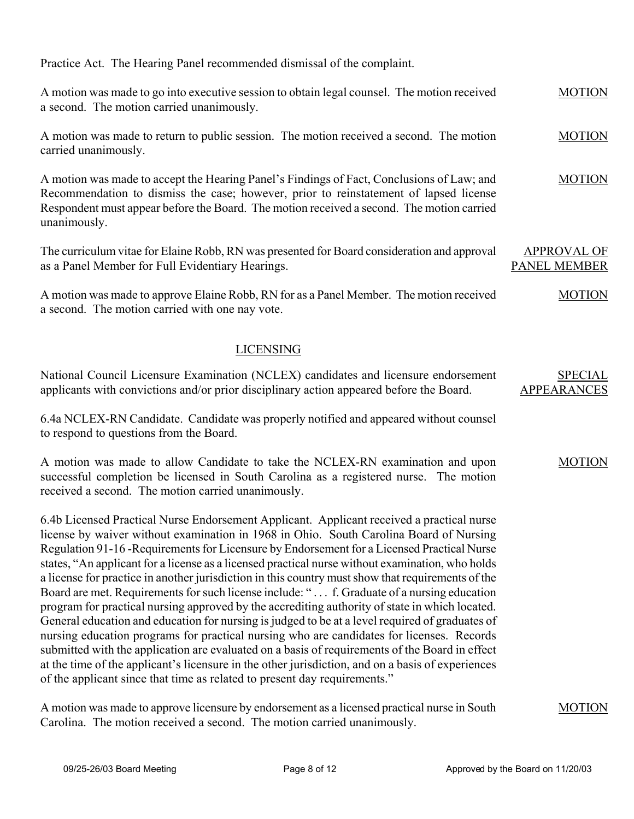Practice Act. The Hearing Panel recommended dismissal of the complaint.

| A motion was made to go into executive session to obtain legal counsel. The motion received<br>a second. The motion carried unanimously.                                                                                                                                                                                                                                                                                                                                                                                                                                                                                                                                                                                                                                                                                                                                                                                                                                                                                                                                                                                                                                      | <b>MOTION</b>                             |
|-------------------------------------------------------------------------------------------------------------------------------------------------------------------------------------------------------------------------------------------------------------------------------------------------------------------------------------------------------------------------------------------------------------------------------------------------------------------------------------------------------------------------------------------------------------------------------------------------------------------------------------------------------------------------------------------------------------------------------------------------------------------------------------------------------------------------------------------------------------------------------------------------------------------------------------------------------------------------------------------------------------------------------------------------------------------------------------------------------------------------------------------------------------------------------|-------------------------------------------|
| A motion was made to return to public session. The motion received a second. The motion<br>carried unanimously.                                                                                                                                                                                                                                                                                                                                                                                                                                                                                                                                                                                                                                                                                                                                                                                                                                                                                                                                                                                                                                                               | <b>MOTION</b>                             |
| A motion was made to accept the Hearing Panel's Findings of Fact, Conclusions of Law; and<br>Recommendation to dismiss the case; however, prior to reinstatement of lapsed license<br>Respondent must appear before the Board. The motion received a second. The motion carried<br>unanimously.                                                                                                                                                                                                                                                                                                                                                                                                                                                                                                                                                                                                                                                                                                                                                                                                                                                                               | <b>MOTION</b>                             |
| The curriculum vitae for Elaine Robb, RN was presented for Board consideration and approval<br>as a Panel Member for Full Evidentiary Hearings.                                                                                                                                                                                                                                                                                                                                                                                                                                                                                                                                                                                                                                                                                                                                                                                                                                                                                                                                                                                                                               | <b>APPROVAL OF</b><br><b>PANEL MEMBER</b> |
| A motion was made to approve Elaine Robb, RN for as a Panel Member. The motion received<br>a second. The motion carried with one nay vote.                                                                                                                                                                                                                                                                                                                                                                                                                                                                                                                                                                                                                                                                                                                                                                                                                                                                                                                                                                                                                                    | <b>MOTION</b>                             |
| <b>LICENSING</b>                                                                                                                                                                                                                                                                                                                                                                                                                                                                                                                                                                                                                                                                                                                                                                                                                                                                                                                                                                                                                                                                                                                                                              |                                           |
| National Council Licensure Examination (NCLEX) candidates and licensure endorsement<br>applicants with convictions and/or prior disciplinary action appeared before the Board.                                                                                                                                                                                                                                                                                                                                                                                                                                                                                                                                                                                                                                                                                                                                                                                                                                                                                                                                                                                                | <b>SPECIAL</b><br><b>APPEARANCES</b>      |
| 6.4a NCLEX-RN Candidate. Candidate was properly notified and appeared without counsel<br>to respond to questions from the Board.                                                                                                                                                                                                                                                                                                                                                                                                                                                                                                                                                                                                                                                                                                                                                                                                                                                                                                                                                                                                                                              |                                           |
| A motion was made to allow Candidate to take the NCLEX-RN examination and upon<br>successful completion be licensed in South Carolina as a registered nurse. The motion<br>received a second. The motion carried unanimously.                                                                                                                                                                                                                                                                                                                                                                                                                                                                                                                                                                                                                                                                                                                                                                                                                                                                                                                                                 | <b>MOTION</b>                             |
| 6.4b Licensed Practical Nurse Endorsement Applicant. Applicant received a practical nurse<br>license by waiver without examination in 1968 in Ohio. South Carolina Board of Nursing<br>Regulation 91-16-Requirements for Licensure by Endorsement for a Licensed Practical Nurse<br>states, "An applicant for a license as a licensed practical nurse without examination, who holds<br>a license for practice in another jurisdiction in this country must show that requirements of the<br>Board are met. Requirements for such license include: " f. Graduate of a nursing education<br>program for practical nursing approved by the accrediting authority of state in which located.<br>General education and education for nursing is judged to be at a level required of graduates of<br>nursing education programs for practical nursing who are candidates for licenses. Records<br>submitted with the application are evaluated on a basis of requirements of the Board in effect<br>at the time of the applicant's licensure in the other jurisdiction, and on a basis of experiences<br>of the applicant since that time as related to present day requirements." |                                           |
| A motion was made to approve licensure by endorsement as a licensed practical nurse in South                                                                                                                                                                                                                                                                                                                                                                                                                                                                                                                                                                                                                                                                                                                                                                                                                                                                                                                                                                                                                                                                                  | <b>MOTION</b>                             |

Carolina. The motion received a second. The motion carried unanimously.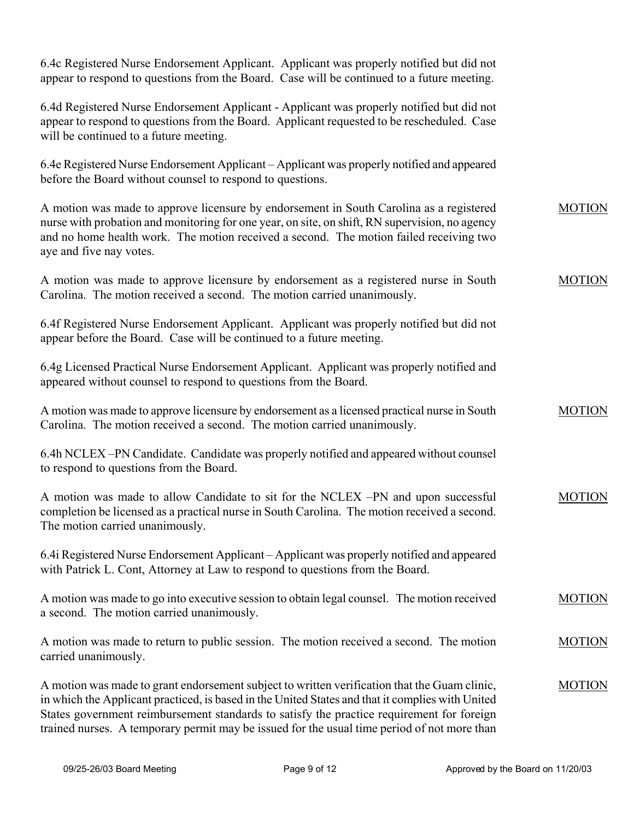6.4c Registered Nurse Endorsement Applicant. Applicant was properly notified but did not appear to respond to questions from the Board. Case will be continued to a future meeting. 6.4d Registered Nurse Endorsement Applicant - Applicant was properly notified but did not appear to respond to questions from the Board. Applicant requested to be rescheduled. Case will be continued to a future meeting. 6.4e Registered Nurse Endorsement Applicant – Applicant was properly notified and appeared before the Board without counsel to respond to questions. A motion was made to approve licensure by endorsement in South Carolina as a registered nurse with probation and monitoring for one year, on site, on shift, RN supervision, no agency and no home health work. The motion received a second. The motion failed receiving two aye and five nay votes. A motion was made to approve licensure by endorsement as a registered nurse in South Carolina. The motion received a second. The motion carried unanimously. 6.4f Registered Nurse Endorsement Applicant. Applicant was properly notified but did not appear before the Board. Case will be continued to a future meeting. 6.4g Licensed Practical Nurse Endorsement Applicant. Applicant was properly notified and appeared without counsel to respond to questions from the Board. A motion was made to approve licensure by endorsement as a licensed practical nurse in South Carolina. The motion received a second. The motion carried unanimously. 6.4h NCLEX –PN Candidate. Candidate was properly notified and appeared without counsel to respond to questions from the Board. A motion was made to allow Candidate to sit for the NCLEX –PN and upon successful completion be licensed as a practical nurse in South Carolina. The motion received a second. The motion carried unanimously. 6.4i Registered Nurse Endorsement Applicant – Applicant was properly notified and appeared with Patrick L. Cont, Attorney at Law to respond to questions from the Board. A motion was made to go into executive session to obtain legal counsel. The motion received a second. The motion carried unanimously. A motion was made to return to public session. The motion received a second. The motion carried unanimously. A motion was made to grant endorsement subject to written verification that the Guam clinic, in which the Applicant practiced, is based in the United States and that it complies with United States government reimbursement standards to satisfy the practice requirement for foreign MOTION MOTION MOTION MOTION MOTION MOTION MOTION

trained nurses. A temporary permit may be issued for the usual time period of not more than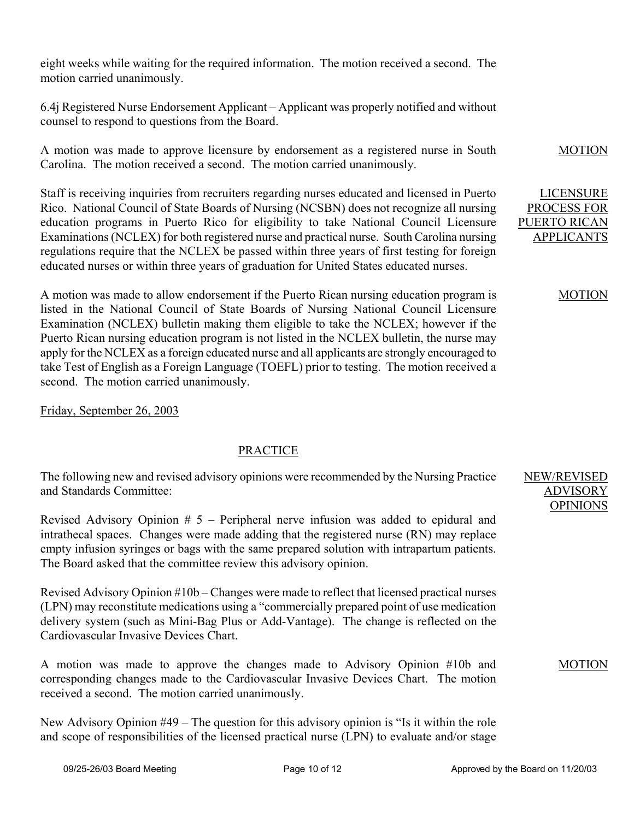eight weeks while waiting for the required information. The motion received a second. The motion carried unanimously.

6.4j Registered Nurse Endorsement Applicant – Applicant was properly notified and without counsel to respond to questions from the Board.

A motion was made to approve licensure by endorsement as a registered nurse in South Carolina. The motion received a second. The motion carried unanimously.

Staff is receiving inquiries from recruiters regarding nurses educated and licensed in Puerto Rico. National Council of State Boards of Nursing (NCSBN) does not recognize all nursing education programs in Puerto Rico for eligibility to take National Council Licensure Examinations (NCLEX) for both registered nurse and practical nurse. South Carolina nursing regulations require that the NCLEX be passed within three years of first testing for foreign educated nurses or within three years of graduation for United States educated nurses.

A motion was made to allow endorsement if the Puerto Rican nursing education program is listed in the National Council of State Boards of Nursing National Council Licensure Examination (NCLEX) bulletin making them eligible to take the NCLEX; however if the Puerto Rican nursing education program is not listed in the NCLEX bulletin, the nurse may apply for the NCLEX as a foreign educated nurse and all applicants are strongly encouraged to take Test of English as a Foreign Language (TOEFL) prior to testing. The motion received a second. The motion carried unanimously.

Friday, September 26, 2003

## PRACTICE

The following new and revised advisory opinions were recommended by the Nursing Practice and Standards Committee:

Revised Advisory Opinion # 5 – Peripheral nerve infusion was added to epidural and intrathecal spaces. Changes were made adding that the registered nurse (RN) may replace empty infusion syringes or bags with the same prepared solution with intrapartum patients. The Board asked that the committee review this advisory opinion.

Revised Advisory Opinion #10b – Changes were made to reflect that licensed practical nurses (LPN) may reconstitute medications using a "commercially prepared point of use medication delivery system (such as Mini-Bag Plus or Add-Vantage). The change is reflected on the Cardiovascular Invasive Devices Chart.

A motion was made to approve the changes made to Advisory Opinion #10b and corresponding changes made to the Cardiovascular Invasive Devices Chart. The motion received a second. The motion carried unanimously.

New Advisory Opinion #49 – The question for this advisory opinion is "Is it within the role and scope of responsibilities of the licensed practical nurse (LPN) to evaluate and/or stage MOTION

LICENSURE PROCESS FOR PUERTO RICAN APPLICANTS

#### MOTION

NEW/REVISED ADVISORY OPINIONS

MOTION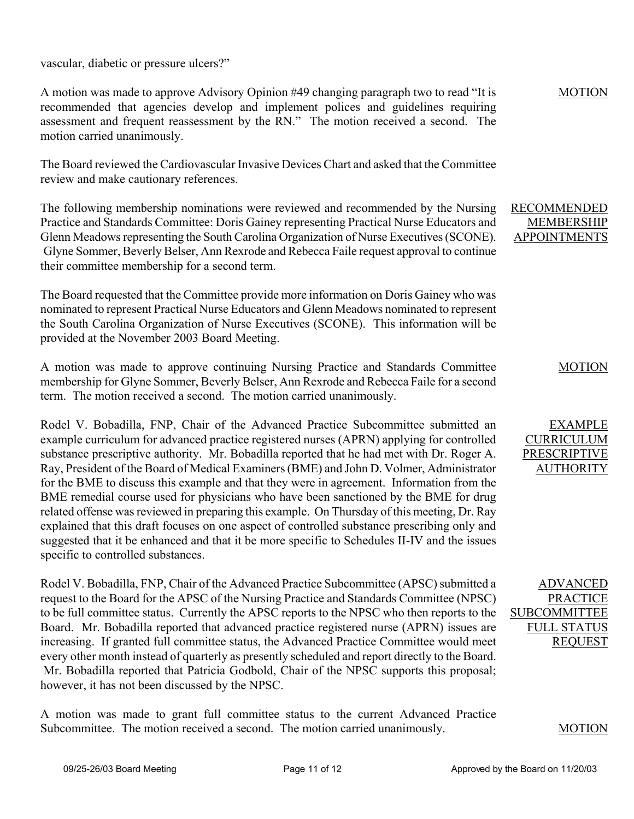vascular, diabetic or pressure ulcers?"

A motion was made to approve Advisory Opinion #49 changing paragraph two to read "It is recommended that agencies develop and implement polices and guidelines requiring assessment and frequent reassessment by the RN." The motion received a second. The motion carried unanimously.

The Board reviewed the Cardiovascular Invasive Devices Chart and asked that the Committee review and make cautionary references.

The following membership nominations were reviewed and recommended by the Nursing Practice and Standards Committee: Doris Gainey representing Practical Nurse Educators and Glenn Meadows representing the South Carolina Organization of Nurse Executives (SCONE). Glyne Sommer, Beverly Belser, Ann Rexrode and Rebecca Faile request approval to continue their committee membership for a second term.

The Board requested that the Committee provide more information on Doris Gainey who was nominated to represent Practical Nurse Educators and Glenn Meadows nominated to represent the South Carolina Organization of Nurse Executives (SCONE). This information will be provided at the November 2003 Board Meeting.

A motion was made to approve continuing Nursing Practice and Standards Committee membership for Glyne Sommer, Beverly Belser, Ann Rexrode and Rebecca Faile for a second term. The motion received a second. The motion carried unanimously.

Rodel V. Bobadilla, FNP, Chair of the Advanced Practice Subcommittee submitted an example curriculum for advanced practice registered nurses (APRN) applying for controlled substance prescriptive authority. Mr. Bobadilla reported that he had met with Dr. Roger A. Ray, President of the Board of Medical Examiners (BME) and John D. Volmer, Administrator for the BME to discuss this example and that they were in agreement. Information from the BME remedial course used for physicians who have been sanctioned by the BME for drug related offense was reviewed in preparing this example. On Thursday of this meeting, Dr. Ray explained that this draft focuses on one aspect of controlled substance prescribing only and suggested that it be enhanced and that it be more specific to Schedules II-IV and the issues specific to controlled substances.

Rodel V. Bobadilla, FNP, Chair of the Advanced Practice Subcommittee (APSC) submitted a request to the Board for the APSC of the Nursing Practice and Standards Committee (NPSC) to be full committee status. Currently the APSC reports to the NPSC who then reports to the Board. Mr. Bobadilla reported that advanced practice registered nurse (APRN) issues are increasing. If granted full committee status, the Advanced Practice Committee would meet every other month instead of quarterly as presently scheduled and report directly to the Board. Mr. Bobadilla reported that Patricia Godbold, Chair of the NPSC supports this proposal; however, it has not been discussed by the NPSC.

A motion was made to grant full committee status to the current Advanced Practice Subcommittee. The motion received a second. The motion carried unanimously.

MOTION

#### RECOMMENDED MEMBERSHIP APPOINTMENTS

#### MOTION

# EXAMPLE CURRICULUM PRESCRIPTIVE AUTHORITY

ADVANCED PRACTICE **SUBCOMMITTEE** FULL STATUS REQUEST

#### MOTION